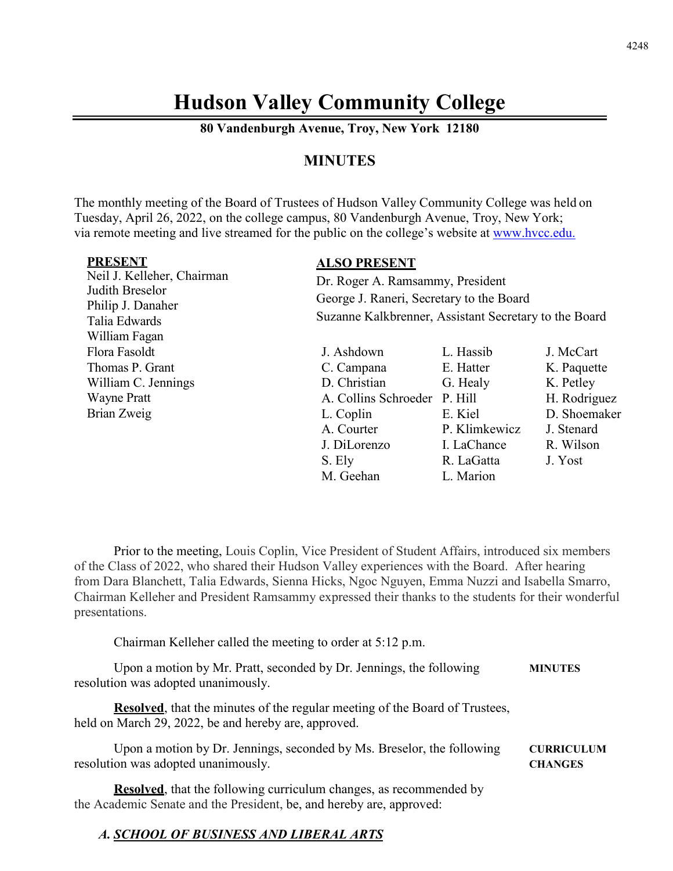# **Hudson Valley Community College**

**80 Vandenburgh Avenue, Troy, New York 12180**

# **MINUTES**

The monthly meeting of the Board of Trustees of Hudson Valley Community College was held on Tuesday, April 26, 2022, on the college campus, 80 Vandenburgh Avenue, Troy, New York; via remote meeting and live streamed for the public on the college's website at [www.hvcc.edu.](http://www.hvcc.edu/)

| <b>PRESENT</b><br>Neil J. Kelleher, Chairman<br>Judith Breselor<br>Philip J. Danaher<br>Talia Edwards | <b>ALSO PRESENT</b><br>Dr. Roger A. Ramsammy, President<br>George J. Raneri, Secretary to the Board<br>Suzanne Kalkbrenner, Assistant Secretary to the Board |               |              |
|-------------------------------------------------------------------------------------------------------|--------------------------------------------------------------------------------------------------------------------------------------------------------------|---------------|--------------|
| William Fagan                                                                                         |                                                                                                                                                              |               |              |
| Flora Fasoldt                                                                                         | J. Ashdown                                                                                                                                                   | L. Hassib     | J. McCart    |
| Thomas P. Grant                                                                                       | C. Campana                                                                                                                                                   | E. Hatter     | K. Paquette  |
| William C. Jennings                                                                                   | D. Christian                                                                                                                                                 | G. Healy      | K. Petley    |
| <b>Wayne Pratt</b>                                                                                    | A. Collins Schroeder                                                                                                                                         | P. Hill       | H. Rodriguez |
| Brian Zweig                                                                                           | L. Coplin                                                                                                                                                    | E. Kiel       | D. Shoemaker |
|                                                                                                       | A. Courter                                                                                                                                                   | P. Klimkewicz | J. Stenard   |
|                                                                                                       | J. DiLorenzo                                                                                                                                                 | I. LaChance   | R. Wilson    |
|                                                                                                       | S. Ely                                                                                                                                                       | R. LaGatta    | J. Yost      |
|                                                                                                       | M. Geehan                                                                                                                                                    | L. Marion     |              |

Prior to the meeting, Louis Coplin, Vice President of Student Affairs, introduced six members of the Class of 2022, who shared their Hudson Valley experiences with the Board. After hearing from Dara Blanchett, Talia Edwards, Sienna Hicks, Ngoc Nguyen, Emma Nuzzi and Isabella Smarro, Chairman Kelleher and President Ramsammy expressed their thanks to the students for their wonderful presentations.

Chairman Kelleher called the meeting to order at 5:12 p.m.

Upon a motion by Mr. Pratt, seconded by Dr. Jennings, the following **MINUTES** resolution was adopted unanimously.

**Resolved**, that the minutes of the regular meeting of the Board of Trustees, held on March 29, 2022, be and hereby are, approved.

Upon a motion by Dr. Jennings, seconded by Ms. Breselor, the following **CURRICULUM** resolution was adopted unanimously. **CHANGES**

**Resolved**, that the following curriculum changes, as recommended by the Academic Senate and the President, be, and hereby are, approved:

## *A. SCHOOL OF BUSINESS AND LIBERAL ARTS*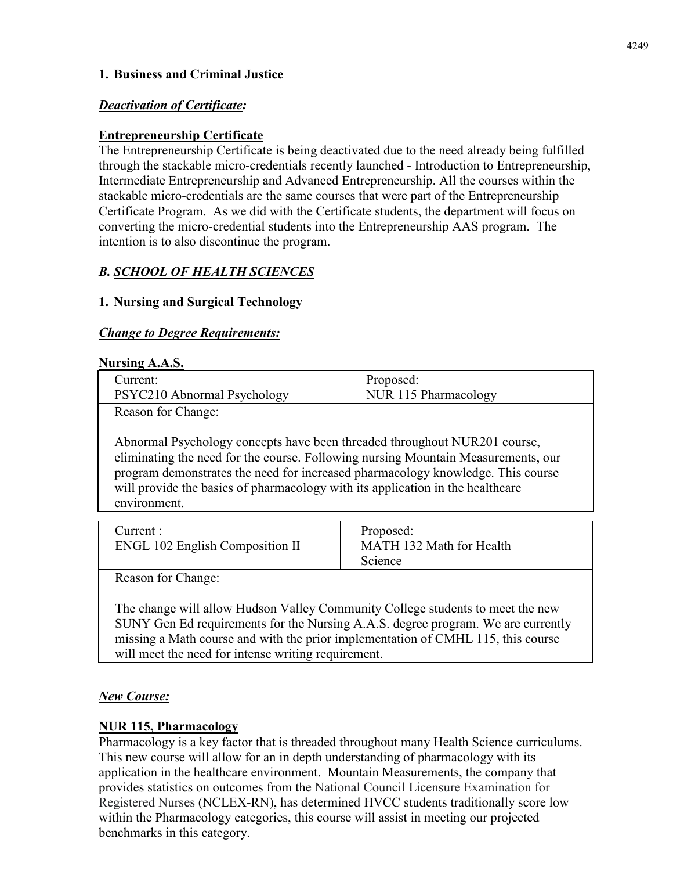## **1. Business and Criminal Justice**

# *Deactivation of Certificate:*

# **Entrepreneurship Certificate**

The Entrepreneurship Certificate is being deactivated due to the need already being fulfilled through the stackable micro-credentials recently launched - Introduction to Entrepreneurship, Intermediate Entrepreneurship and Advanced Entrepreneurship. All the courses within the stackable micro-credentials are the same courses that were part of the Entrepreneurship Certificate Program. As we did with the Certificate students, the department will focus on converting the micro-credential students into the Entrepreneurship AAS program. The intention is to also discontinue the program.

# *B. SCHOOL OF HEALTH SCIENCES*

# **1. Nursing and Surgical Technology**

## *Change to Degree Requirements:*

## **Nursing A.A.S.**

| Current:                    | Proposed:            |
|-----------------------------|----------------------|
| PSYC210 Abnormal Psychology | NUR 115 Pharmacology |
| Reason for Changer          |                      |

Reason for Change:

Abnormal Psychology concepts have been threaded throughout NUR201 course, eliminating the need for the course. Following nursing Mountain Measurements, our program demonstrates the need for increased pharmacology knowledge. This course will provide the basics of pharmacology with its application in the healthcare environment.

| Current :                              | Proposed:                |
|----------------------------------------|--------------------------|
| <b>ENGL 102 English Composition II</b> | MATH 132 Math for Health |
|                                        | Science                  |

Reason for Change:

The change will allow Hudson Valley Community College students to meet the new SUNY Gen Ed requirements for the Nursing A.A.S. degree program. We are currently missing a Math course and with the prior implementation of CMHL 115, this course will meet the need for intense writing requirement.

## *New Course:*

## **NUR 115, Pharmacology**

Pharmacology is a key factor that is threaded throughout many Health Science curriculums. This new course will allow for an in depth understanding of pharmacology with its application in the healthcare environment. Mountain Measurements, the company that provides statistics on outcomes from the National Council Licensure Examination for Registered Nurses (NCLEX-RN), has determined HVCC students traditionally score low within the Pharmacology categories, this course will assist in meeting our projected benchmarks in this category.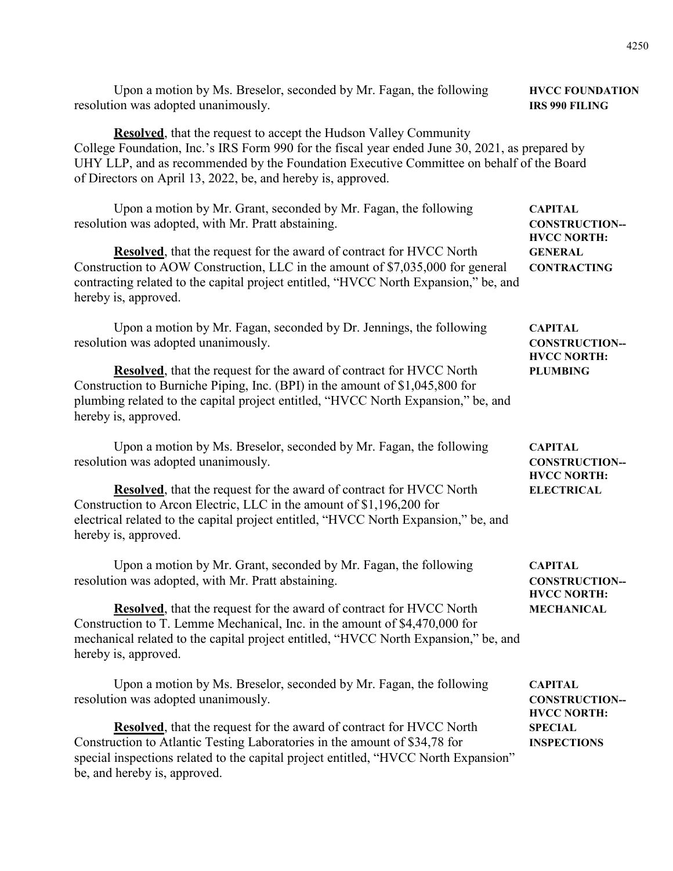| Upon a motion by Ms. Breselor, seconded by Mr. Fagan, the following                                                                                                                                                                                                                                                                     | <b>HVCC FOUNDATION</b>                                     |  |
|-----------------------------------------------------------------------------------------------------------------------------------------------------------------------------------------------------------------------------------------------------------------------------------------------------------------------------------------|------------------------------------------------------------|--|
| resolution was adopted unanimously.                                                                                                                                                                                                                                                                                                     | <b>IRS 990 FILING</b>                                      |  |
| <b>Resolved</b> , that the request to accept the Hudson Valley Community<br>College Foundation, Inc.'s IRS Form 990 for the fiscal year ended June 30, 2021, as prepared by<br>UHY LLP, and as recommended by the Foundation Executive Committee on behalf of the Board<br>of Directors on April 13, 2022, be, and hereby is, approved. |                                                            |  |
| Upon a motion by Mr. Grant, seconded by Mr. Fagan, the following                                                                                                                                                                                                                                                                        | <b>CAPITAL</b>                                             |  |
| resolution was adopted, with Mr. Pratt abstaining.                                                                                                                                                                                                                                                                                      | <b>CONSTRUCTION--</b>                                      |  |
| <b>Resolved</b> , that the request for the award of contract for HVCC North<br>Construction to AOW Construction, LLC in the amount of \$7,035,000 for general<br>contracting related to the capital project entitled, "HVCC North Expansion," be, and<br>hereby is, approved.                                                           | <b>HVCC NORTH:</b><br><b>GENERAL</b><br><b>CONTRACTING</b> |  |
| Upon a motion by Mr. Fagan, seconded by Dr. Jennings, the following                                                                                                                                                                                                                                                                     | <b>CAPITAL</b>                                             |  |
| resolution was adopted unanimously.                                                                                                                                                                                                                                                                                                     | <b>CONSTRUCTION--</b>                                      |  |
| <b>Resolved</b> , that the request for the award of contract for HVCC North<br>Construction to Burniche Piping, Inc. (BPI) in the amount of \$1,045,800 for<br>plumbing related to the capital project entitled, "HVCC North Expansion," be, and<br>hereby is, approved.                                                                | <b>HVCC NORTH:</b><br><b>PLUMBING</b>                      |  |
| Upon a motion by Ms. Breselor, seconded by Mr. Fagan, the following                                                                                                                                                                                                                                                                     | <b>CAPITAL</b>                                             |  |
| resolution was adopted unanimously.                                                                                                                                                                                                                                                                                                     | <b>CONSTRUCTION--</b>                                      |  |
| <b>Resolved</b> , that the request for the award of contract for HVCC North<br>Construction to Arcon Electric, LLC in the amount of \$1,196,200 for<br>electrical related to the capital project entitled, "HVCC North Expansion," be, and<br>hereby is, approved.                                                                      | <b>HVCC NORTH:</b><br><b>ELECTRICAL</b>                    |  |
| Upon a motion by Mr. Grant, seconded by Mr. Fagan, the following                                                                                                                                                                                                                                                                        | <b>CAPITAL</b>                                             |  |
| resolution was adopted, with Mr. Pratt abstaining.                                                                                                                                                                                                                                                                                      | <b>CONSTRUCTION--</b>                                      |  |
| Resolved, that the request for the award of contract for HVCC North<br>Construction to T. Lemme Mechanical, Inc. in the amount of \$4,470,000 for<br>mechanical related to the capital project entitled, "HVCC North Expansion," be, and<br>hereby is, approved.                                                                        | <b>HVCC NORTH:</b><br><b>MECHANICAL</b>                    |  |
| Upon a motion by Ms. Breselor, seconded by Mr. Fagan, the following                                                                                                                                                                                                                                                                     | <b>CAPITAL</b>                                             |  |
| resolution was adopted unanimously.                                                                                                                                                                                                                                                                                                     | <b>CONSTRUCTION--</b>                                      |  |
| <b>Resolved</b> , that the request for the award of contract for HVCC North<br>Construction to Atlantic Testing Laboratories in the amount of \$34,78 for<br>special inspections related to the capital project entitled, "HVCC North Expansion"<br>be, and hereby is, approved.                                                        | <b>HVCC NORTH:</b><br><b>SPECIAL</b><br><b>INSPECTIONS</b> |  |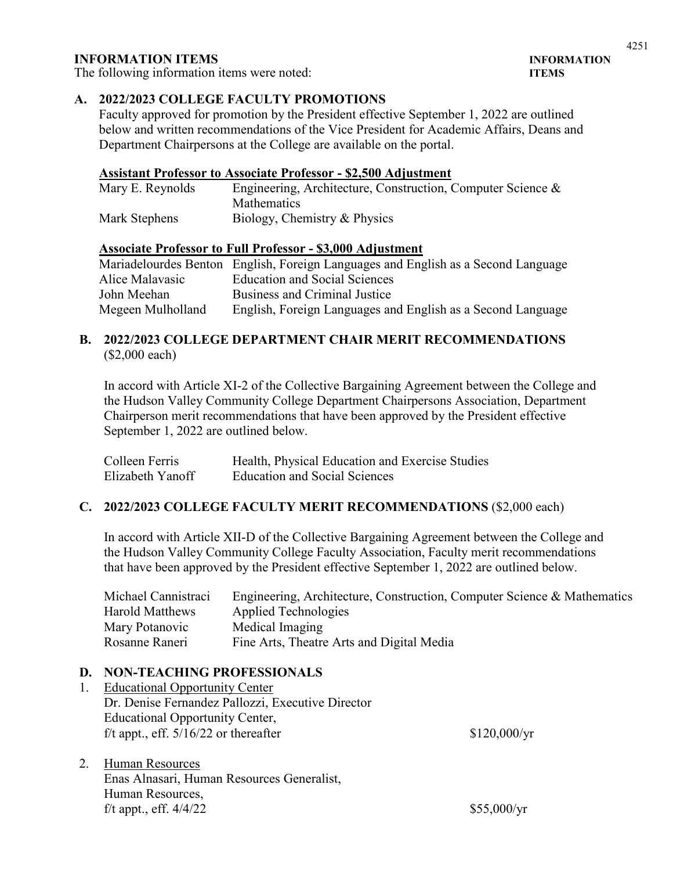## **INFORMATION ITEMS INFORMATION**

The following information items were noted: **ITEMS**

## **A. 2022/2023 COLLEGE FACULTY PROMOTIONS**

Faculty approved for promotion by the President effective September 1, 2022 are outlined below and written recommendations of the Vice President for Academic Affairs, Deans and Department Chairpersons at the College are available on the portal.

#### **Assistant Professor to Associate Professor - \$2,500 Adjustment**

| Mary E. Reynolds | Engineering, Architecture, Construction, Computer Science & |
|------------------|-------------------------------------------------------------|
|                  | <b>Mathematics</b>                                          |
| Mark Stephens    | Biology, Chemistry & Physics                                |

#### **Associate Professor to Full Professor - \$3,000 Adjustment**

|                   | Mariadelourdes Benton English, Foreign Languages and English as a Second Language |
|-------------------|-----------------------------------------------------------------------------------|
| Alice Malavasic   | <b>Education and Social Sciences</b>                                              |
| John Meehan       | Business and Criminal Justice                                                     |
| Megeen Mulholland | English, Foreign Languages and English as a Second Language                       |

## **B. 2022/2023 COLLEGE DEPARTMENT CHAIR MERIT RECOMMENDATIONS**  (\$2,000 each)

In accord with Article XI-2 of the Collective Bargaining Agreement between the College and the Hudson Valley Community College Department Chairpersons Association, Department Chairperson merit recommendations that have been approved by the President effective September 1, 2022 are outlined below.

| Colleen Ferris   | Health, Physical Education and Exercise Studies |
|------------------|-------------------------------------------------|
| Elizabeth Yanoff | <b>Education and Social Sciences</b>            |

#### **C. 2022/2023 COLLEGE FACULTY MERIT RECOMMENDATIONS** (\$2,000 each)

In accord with Article XII-D of the Collective Bargaining Agreement between the College and the Hudson Valley Community College Faculty Association, Faculty merit recommendations that have been approved by the President effective September 1, 2022 are outlined below.

| Michael Cannistraci | Engineering, Architecture, Construction, Computer Science & Mathematics |
|---------------------|-------------------------------------------------------------------------|
| Harold Matthews     | Applied Technologies                                                    |
| Mary Potanovic      | Medical Imaging                                                         |
| Rosanne Raneri      | Fine Arts, Theatre Arts and Digital Media                               |

#### **D. NON-TEACHING PROFESSIONALS**

- 1. Educational Opportunity Center Dr. Denise Fernandez Pallozzi, Executive Director Educational Opportunity Center, f/t appt., eff.  $5/16/22$  or thereafter \$120,000/yr
- 2. Human Resources Enas Alnasari, Human Resources Generalist, Human Resources, f/t appt., eff.  $4/4/22$  \$55,000/yr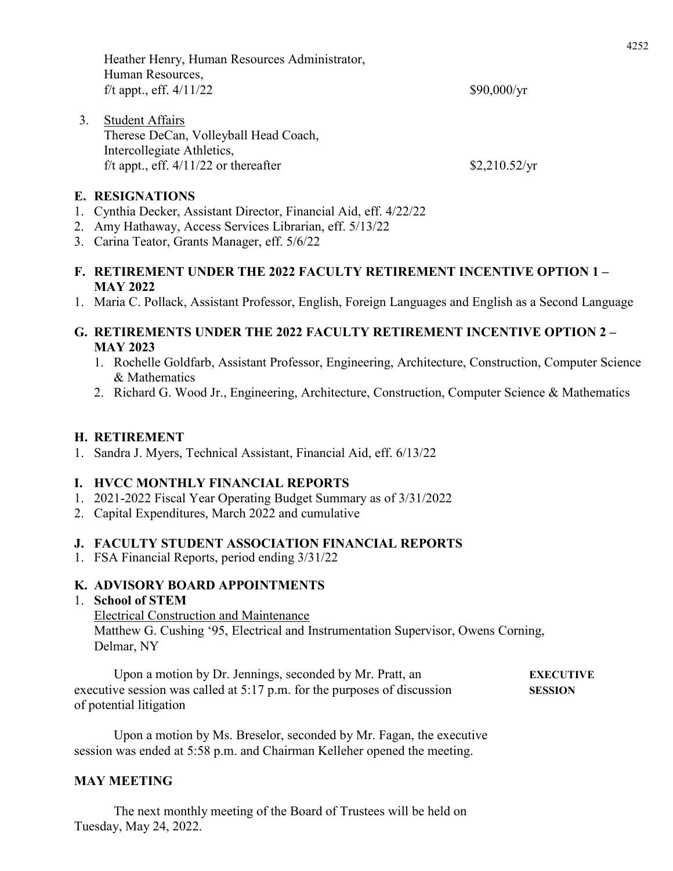|    | Heather Henry, Human Resources Administrator,<br>Human Resources,     |                     |
|----|-----------------------------------------------------------------------|---------------------|
|    | f/t appt., eff. $4/11/22$                                             | $$90,000/\text{yr}$ |
| 3. | <b>Student Affairs</b><br>Therese DeCan, Volleyball Head Coach,       |                     |
|    | Intercollegiate Athletics,<br>f/t appt., eff. $4/11/22$ or thereafter | \$2,210.52/yr       |

#### **E. RESIGNATIONS**

- 1. Cynthia Decker, Assistant Director, Financial Aid, eff. 4/22/22
- 2. Amy Hathaway, Access Services Librarian, eff. 5/13/22
- 3. Carina Teator, Grants Manager, eff. 5/6/22
- **F. RETIREMENT UNDER THE 2022 FACULTY RETIREMENT INCENTIVE OPTION 1 – MAY 2022**
- 1. Maria C. Pollack, Assistant Professor, English, Foreign Languages and English as a Second Language

## **G. RETIREMENTS UNDER THE 2022 FACULTY RETIREMENT INCENTIVE OPTION 2 – MAY 2023**

- 1. Rochelle Goldfarb, Assistant Professor, Engineering, Architecture, Construction, Computer Science & Mathematics
- 2. Richard G. Wood Jr., Engineering, Architecture, Construction, Computer Science & Mathematics

## **H. RETIREMENT**

1. Sandra J. Myers, Technical Assistant, Financial Aid, eff. 6/13/22

## **I. HVCC MONTHLY FINANCIAL REPORTS**

- 1. 2021-2022 Fiscal Year Operating Budget Summary as of 3/31/2022
- 2. Capital Expenditures, March 2022 and cumulative

## **J. FACULTY STUDENT ASSOCIATION FINANCIAL REPORTS**

1. FSA Financial Reports, period ending 3/31/22

## **K. ADVISORY BOARD APPOINTMENTS**

#### 1. **School of STEM**

Electrical Construction and Maintenance Matthew G. Cushing '95, Electrical and Instrumentation Supervisor, Owens Corning, Delmar, NY

Upon a motion by Dr. Jennings, seconded by Mr. Pratt, an **EXECUTIVE** executive session was called at 5:17 p.m. for the purposes of discussion **SESSION** of potential litigation

Upon a motion by Ms. Breselor, seconded by Mr. Fagan, the executive session was ended at 5:58 p.m. and Chairman Kelleher opened the meeting.

## **MAY MEETING**

The next monthly meeting of the Board of Trustees will be held on Tuesday, May 24, 2022.